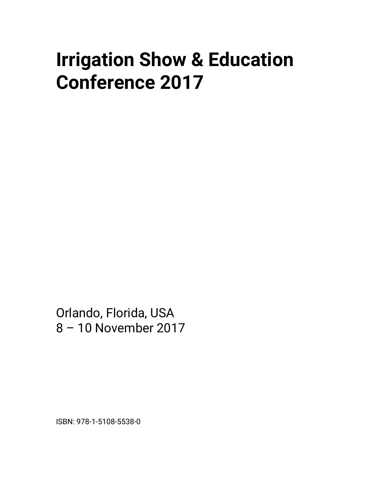# **Irrigation Show & Education Conference 2017**

Orlando, Florida, USA 8 – 10 November 2017

ISBN: 978-1-5108-5538-0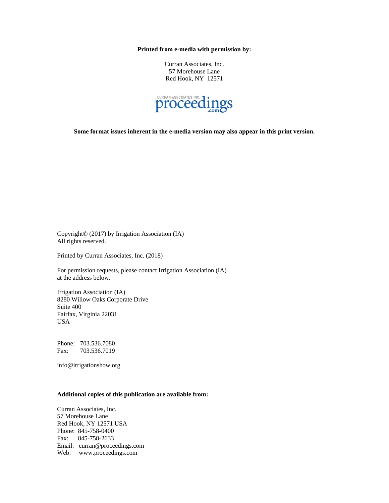**Printed from e-media with permission by:** 

Curran Associates, Inc. 57 Morehouse Lane Red Hook, NY 12571



**Some format issues inherent in the e-media version may also appear in this print version.** 

Copyright© (2017) by Irrigation Association (IA) All rights reserved.

Printed by Curran Associates, Inc. (2018)

For permission requests, please contact Irrigation Association (IA) at the address below.

Irrigation Association (IA) 8280 Willow Oaks Corporate Drive Suite 400 Fairfax, Virginia 22031 USA

Phone: 703.536.7080 Fax: 703.536.7019

info@irrigationshow.org

#### **Additional copies of this publication are available from:**

Curran Associates, Inc. 57 Morehouse Lane Red Hook, NY 12571 USA Phone: 845-758-0400 Fax: 845-758-2633 Email: curran@proceedings.com Web: www.proceedings.com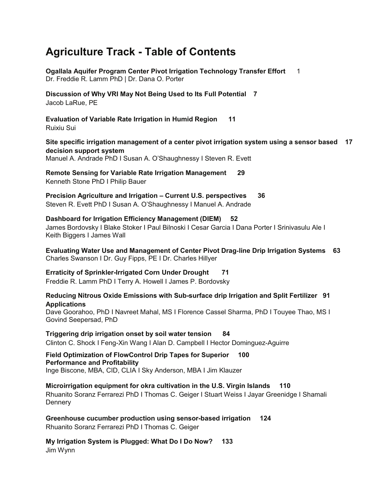## **Agriculture Track - Table of Contents**

**Ogallala Aquifer Program Center Pivot Irrigation Technology Transfer Effort** 1 Dr. Freddie R. Lamm PhD | Dr. Dana O. Porter **Discussion of Why VRI May Not Being Used to Its Full Potential 7** Jacob LaRue, PE **Evaluation of Variable Rate Irrigation in Humid Region 11** Ruixiu Sui **Site specific irrigation management of a center pivot irrigation system using a sensor based 17 decision support system** Manuel A. Andrade PhD I Susan A. O'Shaughnessy I Steven R. Evett **Remote Sensing for Variable Rate Irrigation Management 29** Kenneth Stone PhD I Philip Bauer **Precision Agriculture and Irrigation – Current U.S. perspectives 36** Steven R. Evett PhD I Susan A. O'Shaughnessy I Manuel A. Andrade **Dashboard for Irrigation Efficiency Management (DIEM) 52** James Bordovsky I Blake Stoker I Paul Bilnoski I Cesar Garcia I Dana Porter I Srinivasulu Ale I Keith Biggers I James Wall **Evaluating Water Use and Management of Center Pivot Drag**-**line Drip Irrigation Systems 63** Charles Swanson I Dr. Guy Fipps, PE I Dr. Charles Hillyer **Erraticity of Sprinkler-Irrigated Corn Under Drought 71** Freddie R. Lamm PhD I Terry A. Howell I James P. Bordovsky **Reducing Nitrous Oxide Emissions with Sub-surface drip Irrigation and Split Fertilizer 91 Applications** Dave Goorahoo, PhD I Navreet Mahal, MS I Florence Cassel Sharma, PhD I Touyee Thao, MS I Govind Seepersad, PhD **Triggering drip irrigation onset by soil water tension 84** Clinton C. Shock I Feng-Xin Wang I Alan D. Campbell I Hector Dominguez-Aguirre **Field Optimization of FlowControl Drip Tapes for Superior 100 Performance and Profitability** Inge Biscone, MBA, CID, CLIA I Sky Anderson, MBA I Jim Klauzer **Microirrigation equipment for okra cultivation in the U.S. Virgin Islands 110** Rhuanito Soranz Ferrarezi PhD I Thomas C. Geiger I Stuart Weiss I Jayar Greenidge I Shamali **Dennery Greenhouse cucumber production using sensor-based irrigation 124**

Rhuanito Soranz Ferrarezi PhD I Thomas C. Geiger

**My Irrigation System is Plugged: What Do I Do Now? 133** Jim Wynn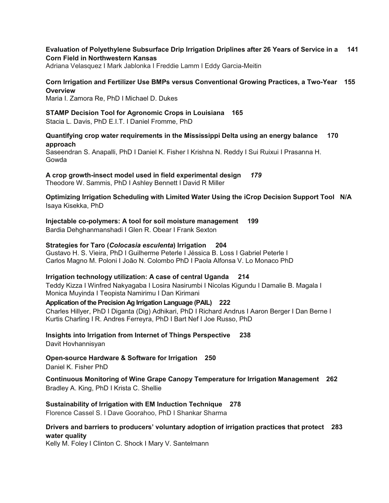#### **Evaluation of Polyethylene Subsurface Drip Irrigation Driplines after 26 Years of Service in a 141 Corn Field in Northwestern Kansas**

Adriana Velasquez I Mark Jablonka I Freddie Lamm I Eddy Garcia-Meitin

#### **Corn Irrigation and Fertilizer Use BMPs versus Conventional Growing Practices, a Two-Year 155 Overview**

Maria I. Zamora Re, PhD I Michael D. Dukes

#### **STAMP Decision Tool for Agronomic Crops in Louisiana 165**

Stacia L. Davis, PhD E.I.T. I Daniel Fromme, PhD

#### **Quantifying crop water requirements in the Mississippi Delta using an energy balance 170 approach**

Saseendran S. Anapalli, PhD I Daniel K. Fisher I Krishna N. Reddy I Sui Ruixui I Prasanna H. Gowda

**A crop growth-insect model used in field experimental design** *179*

Theodore W. Sammis, PhD I Ashley Bennett I David R Miller

**Optimizing Irrigation Scheduling with Limited Water Using the iCrop Decision Support Tool N/A** Isaya Kisekka, PhD

**Injectable co-polymers: A tool for soil moisture management 199**

Bardia Dehghanmanshadi I Glen R. Obear I Frank Sexton

#### **Strategies for Taro (***Colocasia esculenta***) Irrigation 204**

Gustavo H. S. Vieira, PhD I Guilherme Peterle I Jéssica B. Loss I Gabriel Peterle I Carlos Magno M. Poloni I João N. Colombo PhD I Paola Alfonsa V. Lo Monaco PhD

#### **Irrigation technology utilization: A case of central Uganda 214**

Teddy Kizza I Winfred Nakyagaba I Losira Nasirumbi I Nicolas Kigundu I Damalie B. Magala I Monica Muyinda I Teopista Namirimu I Dan Kirimani

#### **Application of the Precision Ag Irrigation Language (PAIL) 222**

Charles Hillyer, PhD I Diganta (Dig) Adhikari, PhD I Richard Andrus I Aaron Berger I Dan Berne I Kurtis Charling I R. Andres Ferreyra, PhD I Bart Nef I Joe Russo, PhD

**Insights into Irrigation from Internet of Things Perspective 238** Davit Hovhannisyan

**Open-source Hardware & Software for Irrigation 250** Daniel K. Fisher PhD

**Continuous Monitoring of Wine Grape Canopy Temperature for Irrigation Management 262** Bradley A. King, PhD I Krista C. Shellie

#### **Sustainability of Irrigation with EM Induction Technique 278**

Florence Cassel S. I Dave Goorahoo, PhD I Shankar Sharma

#### **Drivers and barriers to producers' voluntary adoption of irrigation practices that protect 283 water quality**

Kelly M. Foley I Clinton C. Shock I Mary V. Santelmann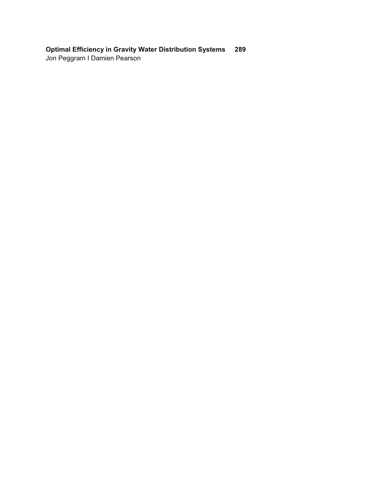### **Optimal Efficiency in Gravity Water Distribution Systems 289**

Jon Peggram I Damien Pearson